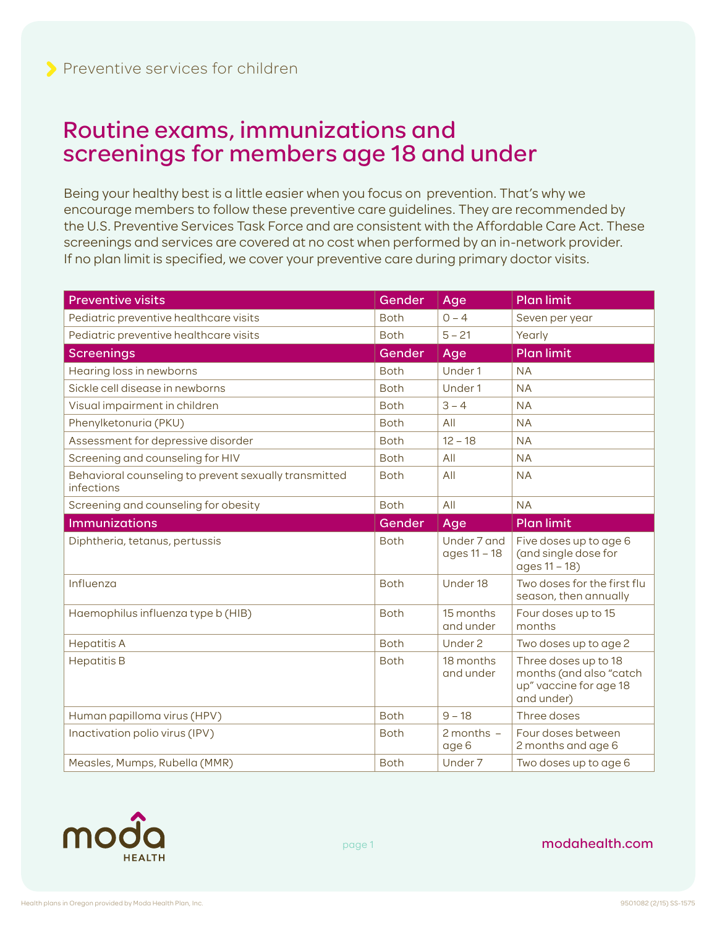## Routine exams, immunizations and screenings for members age 18 and under

Being your healthy best is a little easier when you focus on prevention. That's why we encourage members to follow these preventive care guidelines. They are recommended by the U.S. Preventive Services Task Force and are consistent with the Affordable Care Act. These screenings and services are covered at no cost when performed by an in-network provider. If no plan limit is specified, we cover your preventive care during primary doctor visits.

| <b>Preventive visits</b>                                            | Gender      | Age                     | <b>Plan limit</b>                                                                       |
|---------------------------------------------------------------------|-------------|-------------------------|-----------------------------------------------------------------------------------------|
| Pediatric preventive healthcare visits                              | <b>Both</b> | $0 - 4$                 | Seven per year                                                                          |
| Pediatric preventive healthcare visits                              | <b>Both</b> | $5 - 21$                | Yearly                                                                                  |
| <b>Screenings</b>                                                   | Gender      | Age                     | <b>Plan limit</b>                                                                       |
| Hearing loss in newborns                                            | <b>Both</b> | Under 1                 | <b>NA</b>                                                                               |
| Sickle cell disease in newborns                                     | <b>Both</b> | Under 1                 | <b>NA</b>                                                                               |
| Visual impairment in children                                       | <b>Both</b> | $3 - 4$                 | <b>NA</b>                                                                               |
| Phenylketonuria (PKU)                                               | <b>Both</b> | All                     | <b>NA</b>                                                                               |
| Assessment for depressive disorder                                  | <b>Both</b> | $12 - 18$               | <b>NA</b>                                                                               |
| Screening and counseling for HIV                                    | <b>Both</b> | All                     | <b>NA</b>                                                                               |
| Behavioral counseling to prevent sexually transmitted<br>infections | <b>Both</b> | All                     | <b>NA</b>                                                                               |
| Screening and counseling for obesity                                | <b>Both</b> | All                     | <b>NA</b>                                                                               |
| <b>Immunizations</b>                                                | Gender      | Age                     | <b>Plan limit</b>                                                                       |
| Diphtheria, tetanus, pertussis                                      | <b>Both</b> | Under 7 and             |                                                                                         |
|                                                                     |             | ages 11 - 18            | Five doses up to age 6<br>(and single dose for<br>ages 11 - 18)                         |
| Influenza                                                           | <b>Both</b> | Under 18                | Two doses for the first flu<br>season, then annually                                    |
| Haemophilus influenza type b (HIB)                                  | <b>Both</b> | 15 months<br>and under  | Four doses up to 15<br>months                                                           |
| <b>Hepatitis A</b>                                                  | <b>Both</b> | Under 2                 | Two doses up to age 2                                                                   |
| <b>Hepatitis B</b>                                                  | <b>Both</b> | 18 months<br>and under  | Three doses up to 18<br>months (and also "catch<br>up" vaccine for age 18<br>and under) |
| Human papilloma virus (HPV)                                         | <b>Both</b> | $9 - 18$                | Three doses                                                                             |
| Inactivation polio virus (IPV)                                      | <b>Both</b> | $2$ months $-$<br>age 6 | Four doses between<br>2 months and age 6                                                |



page 1

modahealth.com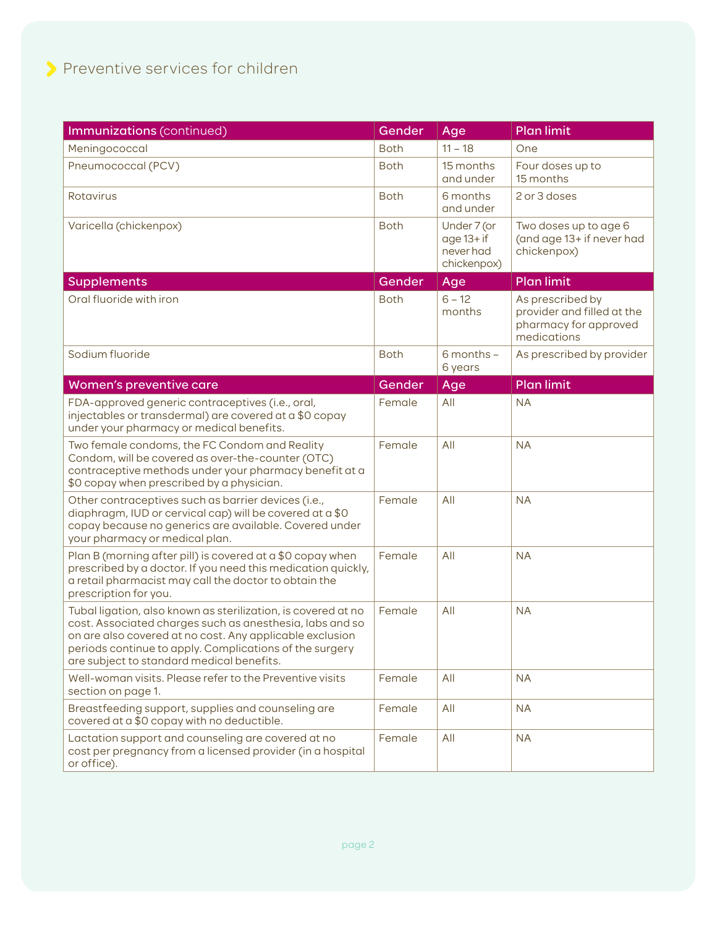| Immunizations (continued)                                                                                                                                                                                                                                                                     | Gender      | Age                                                      | <b>Plan limit</b>                                                                      |
|-----------------------------------------------------------------------------------------------------------------------------------------------------------------------------------------------------------------------------------------------------------------------------------------------|-------------|----------------------------------------------------------|----------------------------------------------------------------------------------------|
| Meningococcal                                                                                                                                                                                                                                                                                 | <b>Both</b> | $11 - 18$                                                | One                                                                                    |
| Pneumococcal (PCV)                                                                                                                                                                                                                                                                            | <b>Both</b> | 15 months<br>and under                                   | Four doses up to<br>15 months                                                          |
| Rotavirus                                                                                                                                                                                                                                                                                     | <b>Both</b> | 6 months<br>and under                                    | 2 or 3 doses                                                                           |
| Varicella (chickenpox)                                                                                                                                                                                                                                                                        | <b>Both</b> | Under 7 (or<br>$age 13 + if$<br>never had<br>chickenpox) | Two doses up to age 6<br>(and age 13+ if never had<br>chickenpox)                      |
| <b>Supplements</b>                                                                                                                                                                                                                                                                            | Gender      | Age                                                      | <b>Plan limit</b>                                                                      |
| Oral fluoride with iron                                                                                                                                                                                                                                                                       | <b>Both</b> | $6 - 12$<br>months                                       | As prescribed by<br>provider and filled at the<br>pharmacy for approved<br>medications |
| Sodium fluoride                                                                                                                                                                                                                                                                               | <b>Both</b> | $6$ months $-$<br>6 years                                | As prescribed by provider                                                              |
| Women's preventive care                                                                                                                                                                                                                                                                       | Gender      | Age                                                      | Plan limit                                                                             |
| FDA-approved generic contraceptives (i.e., oral,<br>injectables or transdermal) are covered at a \$0 copay<br>under your pharmacy or medical benefits.                                                                                                                                        | Female      | All                                                      | <b>NA</b>                                                                              |
| Two female condoms, the FC Condom and Reality<br>Condom, will be covered as over-the-counter (OTC)<br>contraceptive methods under your pharmacy benefit at a<br>\$0 copay when prescribed by a physician.                                                                                     | Female      | All                                                      | <b>NA</b>                                                                              |
| Other contraceptives such as barrier devices (i.e.,<br>diaphragm, IUD or cervical cap) will be covered at a \$0<br>copay because no generics are available. Covered under<br>your pharmacy or medical plan.                                                                                   | Female      | All                                                      | <b>NA</b>                                                                              |
| Plan B (morning after pill) is covered at a \$0 copay when<br>prescribed by a doctor. If you need this medication quickly,<br>a retail pharmacist may call the doctor to obtain the<br>prescription for you.                                                                                  | Female      | All                                                      | <b>NA</b>                                                                              |
| Tubal ligation, also known as sterilization, is covered at no<br>cost. Associated charges such as anesthesia, labs and so<br>on are also covered at no cost. Any applicable exclusion<br>periods continue to apply. Complications of the surgery<br>are subject to standard medical benefits. | Female      | All                                                      | <b>NA</b>                                                                              |
| Well-woman visits. Please refer to the Preventive visits<br>section on page 1.                                                                                                                                                                                                                | Female      | All                                                      | <b>NA</b>                                                                              |
| Breastfeeding support, supplies and counseling are<br>covered at a \$0 copay with no deductible.                                                                                                                                                                                              | Female      | All                                                      | <b>NA</b>                                                                              |
| Lactation support and counseling are covered at no<br>cost per pregnancy from a licensed provider (in a hospital<br>or office).                                                                                                                                                               | Female      | All                                                      | <b>NA</b>                                                                              |